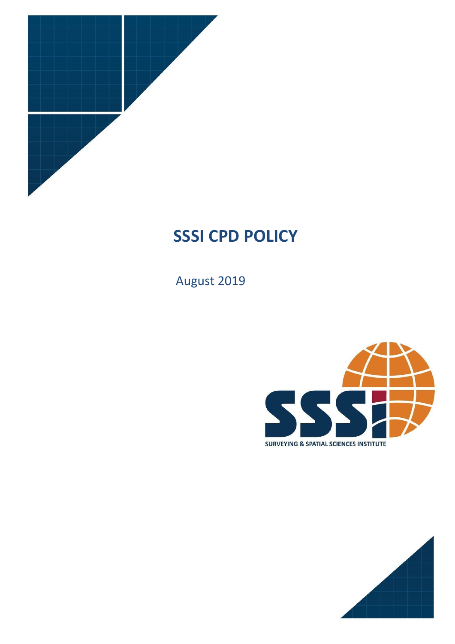

# **SSSI CPD POLICY**

August 2019



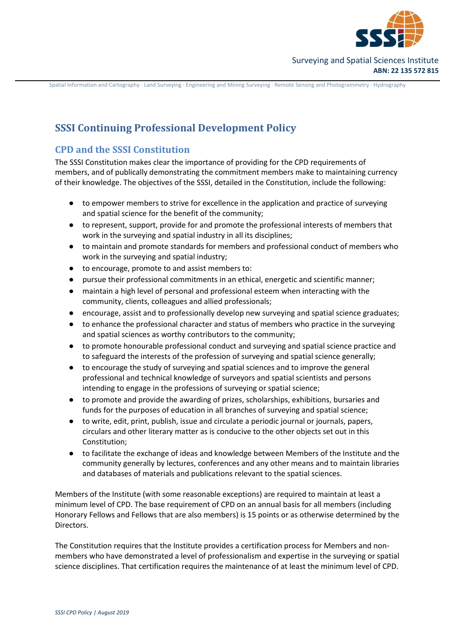

# **SSSI Continuing Professional Development Policy**

# **CPD and the SSSI Constitution**

The SSSI Constitution makes clear the importance of providing for the CPD requirements of members, and of publically demonstrating the commitment members make to maintaining currency of their knowledge. The objectives of the SSSI, detailed in the Constitution, include the following:

- to empower members to strive for excellence in the application and practice of surveying and spatial science for the benefit of the community;
- to represent, support, provide for and promote the professional interests of members that work in the surveying and spatial industry in all its disciplines;
- to maintain and promote standards for members and professional conduct of members who work in the surveying and spatial industry;
- to encourage, promote to and assist members to:
- pursue their professional commitments in an ethical, energetic and scientific manner;
- maintain a high level of personal and professional esteem when interacting with the community, clients, colleagues and allied professionals;
- encourage, assist and to professionally develop new surveying and spatial science graduates;
- to enhance the professional character and status of members who practice in the surveying and spatial sciences as worthy contributors to the community;
- to promote honourable professional conduct and surveying and spatial science practice and to safeguard the interests of the profession of surveying and spatial science generally;
- to encourage the study of surveying and spatial sciences and to improve the general professional and technical knowledge of surveyors and spatial scientists and persons intending to engage in the professions of surveying or spatial science;
- to promote and provide the awarding of prizes, scholarships, exhibitions, bursaries and funds for the purposes of education in all branches of surveying and spatial science;
- to write, edit, print, publish, issue and circulate a periodic journal or journals, papers, circulars and other literary matter as is conducive to the other objects set out in this Constitution;
- to facilitate the exchange of ideas and knowledge between Members of the Institute and the community generally by lectures, conferences and any other means and to maintain libraries and databases of materials and publications relevant to the spatial sciences.

Members of the Institute (with some reasonable exceptions) are required to maintain at least a minimum level of CPD. The base requirement of CPD on an annual basis for all members (including Honorary Fellows and Fellows that are also members) is 15 points or as otherwise determined by the Directors.

The Constitution requires that the Institute provides a certification process for Members and nonmembers who have demonstrated a level of professionalism and expertise in the surveying or spatial science disciplines. That certification requires the maintenance of at least the minimum level of CPD.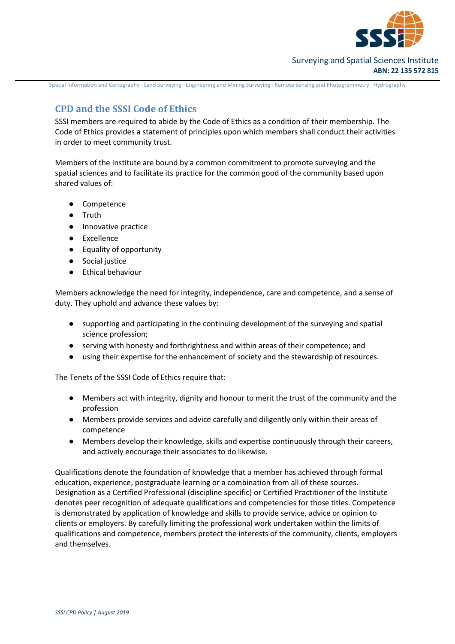

# **CPD and the SSSI Code of Ethics**

SSSI members are required to abide by the Code of Ethics as a condition of their membership. The Code of Ethics provides a statement of principles upon which members shall conduct their activities in order to meet community trust.

Members of the Institute are bound by a common commitment to promote surveying and the spatial sciences and to facilitate its practice for the common good of the community based upon shared values of:

- Competence
- Truth
- Innovative practice
- **Excellence**
- Equality of opportunity
- Social justice
- **Ethical behaviour**

Members acknowledge the need for integrity, independence, care and competence, and a sense of duty. They uphold and advance these values by:

- supporting and participating in the continuing development of the surveying and spatial science profession;
- serving with honesty and forthrightness and within areas of their competence; and
- using their expertise for the enhancement of society and the stewardship of resources.

The Tenets of the SSSI Code of Ethics require that:

- Members act with integrity, dignity and honour to merit the trust of the community and the profession
- Members provide services and advice carefully and diligently only within their areas of competence
- Members develop their knowledge, skills and expertise continuously through their careers, and actively encourage their associates to do likewise.

Qualifications denote the foundation of knowledge that a member has achieved through formal education, experience, postgraduate learning or a combination from all of these sources. Designation as a Certified Professional (discipline specific) or Certified Practitioner of the Institute denotes peer recognition of adequate qualifications and competencies for those titles. Competence is demonstrated by application of knowledge and skills to provide service, advice or opinion to clients or employers. By carefully limiting the professional work undertaken within the limits of qualifications and competence, members protect the interests of the community, clients, employers and themselves.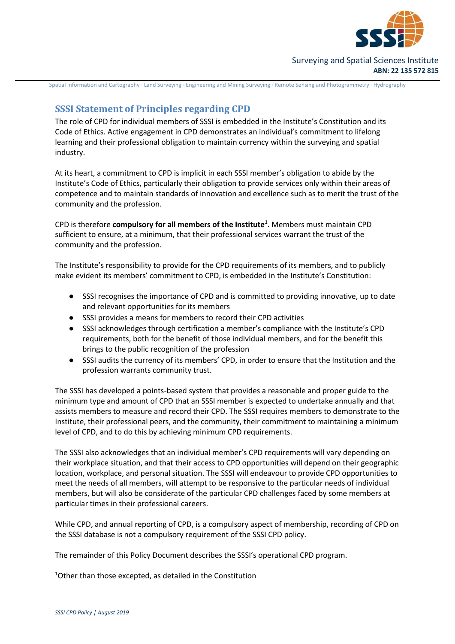

# Surveying and Spatial Sciences Institute **ABN: 22 135 572 815**

Spatial Information and Cartography ∙ Land Surveying ∙ Engineering and Mining Surveying ∙ Remote Sensing and Photogrammetry ∙ Hydrography

# **SSSI Statement of Principles regarding CPD**

The role of CPD for individual members of SSSI is embedded in the Institute's Constitution and its Code of Ethics. Active engagement in CPD demonstrates an individual's commitment to lifelong learning and their professional obligation to maintain currency within the surveying and spatial industry.

At its heart, a commitment to CPD is implicit in each SSSI member's obligation to abide by the Institute's Code of Ethics, particularly their obligation to provide services only within their areas of competence and to maintain standards of innovation and excellence such as to merit the trust of the community and the profession.

CPD is therefore **compulsory for all members of the Institute<sup>1</sup>** . Members must maintain CPD sufficient to ensure, at a minimum, that their professional services warrant the trust of the community and the profession.

The Institute's responsibility to provide for the CPD requirements of its members, and to publicly make evident its members' commitment to CPD, is embedded in the Institute's Constitution:

- SSSI recognises the importance of CPD and is committed to providing innovative, up to date and relevant opportunities for its members
- SSSI provides a means for members to record their CPD activities
- SSSI acknowledges through certification a member's compliance with the Institute's CPD requirements, both for the benefit of those individual members, and for the benefit this brings to the public recognition of the profession
- SSSI audits the currency of its members' CPD, in order to ensure that the Institution and the profession warrants community trust.

The SSSI has developed a points-based system that provides a reasonable and proper guide to the minimum type and amount of CPD that an SSSI member is expected to undertake annually and that assists members to measure and record their CPD. The SSSI requires members to demonstrate to the Institute, their professional peers, and the community, their commitment to maintaining a minimum level of CPD, and to do this by achieving minimum CPD requirements.

The SSSI also acknowledges that an individual member's CPD requirements will vary depending on their workplace situation, and that their access to CPD opportunities will depend on their geographic location, workplace, and personal situation. The SSSI will endeavour to provide CPD opportunities to meet the needs of all members, will attempt to be responsive to the particular needs of individual members, but will also be considerate of the particular CPD challenges faced by some members at particular times in their professional careers.

While CPD, and annual reporting of CPD, is a compulsory aspect of membership, recording of CPD on the SSSI database is not a compulsory requirement of the SSSI CPD policy.

The remainder of this Policy Document describes the SSSI's operational CPD program.

1Other than those excepted, as detailed in the Constitution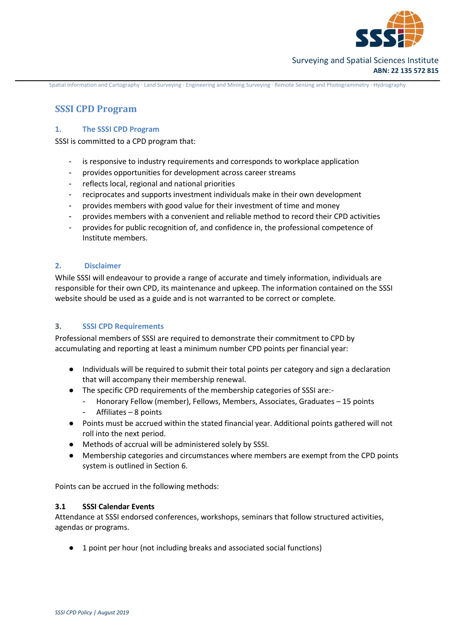

# **SSSI CPD Program**

# **1. The SSSI CPD Program**

SSSI is committed to a CPD program that:

- is responsive to industry requirements and corresponds to workplace application
- provides opportunities for development across career streams
- reflects local, regional and national priorities
- reciprocates and supports investment individuals make in their own development
- provides members with good value for their investment of time and money
- provides members with a convenient and reliable method to record their CPD activities
- provides for public recognition of, and confidence in, the professional competence of Institute members.

# **2. Disclaimer**

While SSSI will endeavour to provide a range of accurate and timely information, individuals are responsible for their own CPD, its maintenance and upkeep. The information contained on the SSSI website should be used as a guide and is not warranted to be correct or complete.

# **3. SSSI CPD Requirements**

Professional members of SSSI are required to demonstrate their commitment to CPD by accumulating and reporting at least a minimum number CPD points per financial year:

- Individuals will be required to submit their total points per category and sign a declaration that will accompany their membership renewal.
- The specific CPD requirements of the membership categories of SSSI are:-
	- Honorary Fellow (member), Fellows, Members, Associates, Graduates 15 points
	- Affiliates  $-8$  points
- Points must be accrued within the stated financial year. Additional points gathered will not roll into the next period.
- Methods of accrual will be administered solely by SSSI.
- Membership categories and circumstances where members are exempt from the CPD points system is outlined in Section 6.

Points can be accrued in the following methods:

# **3.1 SSSI Calendar Events**

Attendance at SSSI endorsed conferences, workshops, seminars that follow structured activities, agendas or programs.

1 point per hour (not including breaks and associated social functions)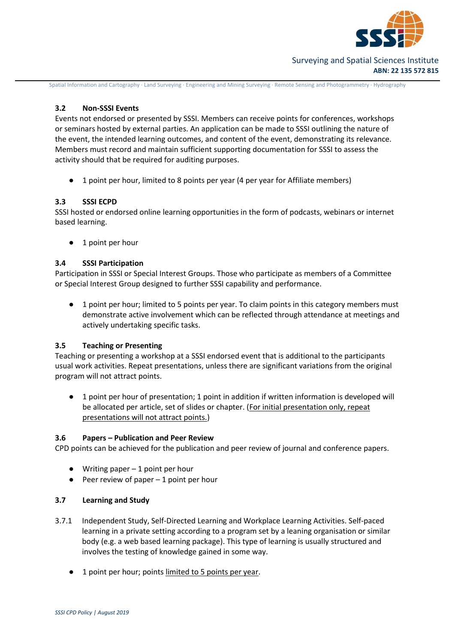

# Surveying and Spatial Sciences Institute **ABN: 22 135 572 815**

Spatial Information and Cartography ∙ Land Surveying ∙ Engineering and Mining Surveying ∙ Remote Sensing and Photogrammetry ∙ Hydrography

# **3.2 Non-SSSI Events**

Events not endorsed or presented by SSSI. Members can receive points for conferences, workshops or seminars hosted by external parties. An application can be made to SSSI outlining the nature of the event, the intended learning outcomes, and content of the event, demonstrating its relevance. Members must record and maintain sufficient supporting documentation for SSSI to assess the activity should that be required for auditing purposes.

● 1 point per hour, limited to 8 points per year (4 per year for Affiliate members)

# **3.3 SSSI ECPD**

SSSI hosted or endorsed online learning opportunities in the form of podcasts, webinars or internet based learning.

● 1 point per hour

#### **3.4 SSSI Participation**

Participation in SSSI or Special Interest Groups. Those who participate as members of a Committee or Special Interest Group designed to further SSSI capability and performance.

● 1 point per hour; limited to 5 points per year. To claim points in this category members must demonstrate active involvement which can be reflected through attendance at meetings and actively undertaking specific tasks.

# **3.5 Teaching or Presenting**

Teaching or presenting a workshop at a SSSI endorsed event that is additional to the participants usual work activities. Repeat presentations, unless there are significant variations from the original program will not attract points.

1 point per hour of presentation; 1 point in addition if written information is developed will be allocated per article, set of slides or chapter. (For initial presentation only, repeat presentations will not attract points.)

#### **3.6 Papers – Publication and Peer Review**

CPD points can be achieved for the publication and peer review of journal and conference papers.

- $\bullet$  Writing paper  $-1$  point per hour
- $\bullet$  Peer review of paper  $-1$  point per hour

# **3.7 Learning and Study**

- 3.7.1 Independent Study, Self-Directed Learning and Workplace Learning Activities. Self-paced learning in a private setting according to a program set by a leaning organisation or similar body (e.g. a web based learning package). This type of learning is usually structured and involves the testing of knowledge gained in some way.
	- 1 point per hour; points limited to 5 points per year.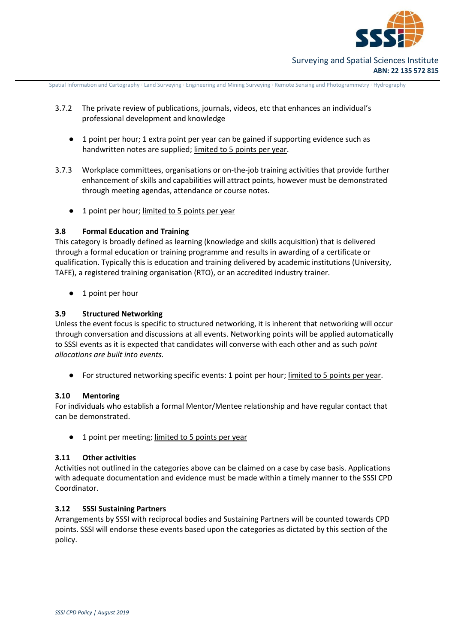

- 3.7.2 The private review of publications, journals, videos, etc that enhances an individual's professional development and knowledge
	- 1 point per hour; 1 extra point per year can be gained if supporting evidence such as handwritten notes are supplied; limited to 5 points per year.
- 3.7.3 Workplace committees, organisations or on-the-job training activities that provide further enhancement of skills and capabilities will attract points, however must be demonstrated through meeting agendas, attendance or course notes.
	- 1 point per hour; limited to 5 points per year

#### **3.8 Formal Education and Training**

This category is broadly defined as learning (knowledge and skills acquisition) that is delivered through a formal education or training programme and results in awarding of a certificate or qualification. Typically this is education and training delivered by academic institutions (University, TAFE), a registered training organisation (RTO), or an accredited industry trainer.

● 1 point per hour

# **3.9 Structured Networking**

Unless the event focus is specific to structured networking, it is inherent that networking will occur through conversation and discussions at all events. Networking points will be applied automatically to SSSI events as it is expected that candidates will converse with each other and as such p*oint allocations are built into events.* 

For structured networking specific events: 1 point per hour; limited to 5 points per year.

#### **3.10 Mentoring**

For individuals who establish a formal Mentor/Mentee relationship and have regular contact that can be demonstrated.

1 point per meeting; limited to 5 points per year

# **3.11 Other activities**

Activities not outlined in the categories above can be claimed on a case by case basis. Applications with adequate documentation and evidence must be made within a timely manner to the SSSI CPD Coordinator.

#### **3.12 SSSI Sustaining Partners**

Arrangements by SSSI with reciprocal bodies and Sustaining Partners will be counted towards CPD points. SSSI will endorse these events based upon the categories as dictated by this section of the policy.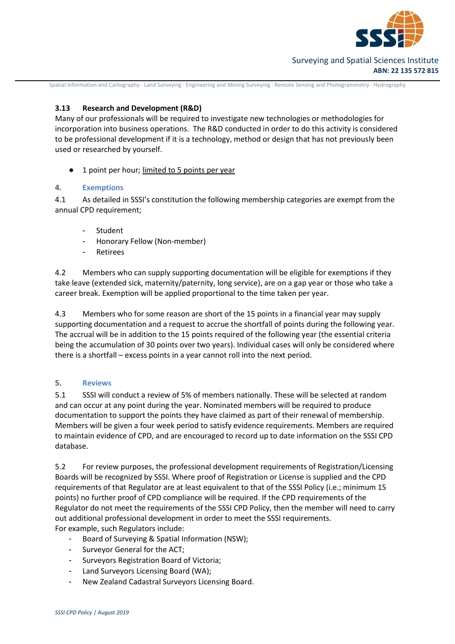

# **3.13 Research and Development (R&D)**

Many of our professionals will be required to investigate new technologies or methodologies for incorporation into business operations. The R&D conducted in order to do this activity is considered to be professional development if it is a technology, method or design that has not previously been used or researched by yourself.

1 point per hour; limited to 5 points per year

# **4. Exemptions**

4.1 As detailed in SSSI's constitution the following membership categories are exempt from the annual CPD requirement;

- **Student**
- Honorary Fellow (Non-member)
- **Retirees**

4.2 Members who can supply supporting documentation will be eligible for exemptions if they take leave (extended sick, maternity/paternity, long service), are on a gap year or those who take a career break. Exemption will be applied proportional to the time taken per year.

4.3 Members who for some reason are short of the 15 points in a financial year may supply supporting documentation and a request to accrue the shortfall of points during the following year. The accrual will be in addition to the 15 points required of the following year (the essential criteria being the accumulation of 30 points over two years). Individual cases will only be considered where there is a shortfall – excess points in a year cannot roll into the next period.

# **5. Reviews**

5.1 SSSI will conduct a review of 5% of members nationally. These will be selected at random and can occur at any point during the year. Nominated members will be required to produce documentation to support the points they have claimed as part of their renewal of membership. Members will be given a four week period to satisfy evidence requirements. Members are required to maintain evidence of CPD, and are encouraged to record up to date information on the SSSI CPD database.

5.2 For review purposes, the professional development requirements of Registration/Licensing Boards will be recognized by SSSI. Where proof of Registration or License is supplied and the CPD requirements of that Regulator are at least equivalent to that of the SSSI Policy (i.e.; minimum 15 points) no further proof of CPD compliance will be required. If the CPD requirements of the Regulator do not meet the requirements of the SSSI CPD Policy, then the member will need to carry out additional professional development in order to meet the SSSI requirements. For example, such Regulators include:

- Board of Surveying & Spatial Information (NSW);
- Surveyor General for the ACT;
- Surveyors Registration Board of Victoria;
- Land Surveyors Licensing Board (WA);
- New Zealand Cadastral Surveyors Licensing Board.